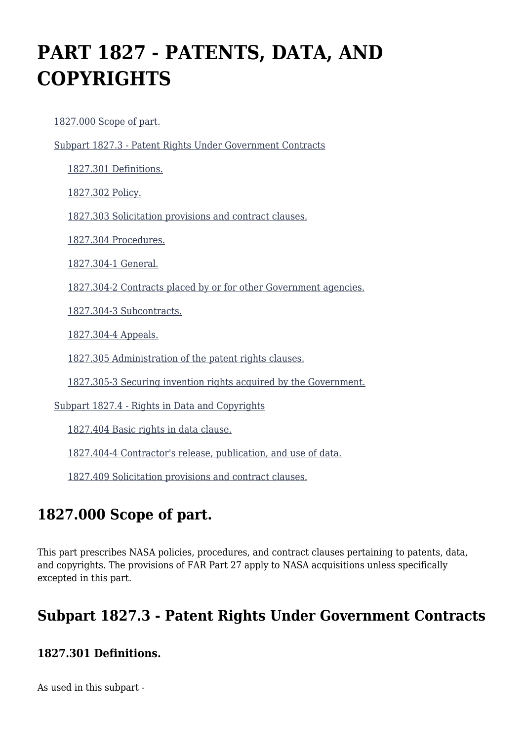# **PART 1827 - PATENTS, DATA, AND COPYRIGHTS**

[1827.000 Scope of part.](https://login.acquisition.gov/%5Brp:link:nfs-part-1827%5D#Section_1827_000_T48_6042022011)

[Subpart 1827.3 - Patent Rights Under Government Contracts](https://login.acquisition.gov/%5Brp:link:nfs-part-1827%5D#Subpart_1827_3_T48_60420221)

[1827.301 Definitions.](https://login.acquisition.gov/%5Brp:link:nfs-part-1827%5D#Section_1827_301_T48_6042022111)

[1827.302 Policy.](https://login.acquisition.gov/%5Brp:link:nfs-part-1827%5D#Section_1827_302_T48_6042022112)

[1827.303 Solicitation provisions and contract clauses.](https://login.acquisition.gov/%5Brp:link:nfs-part-1827%5D#Section_1827_303_T48_6042022113)

[1827.304 Procedures.](https://login.acquisition.gov/%5Brp:link:nfs-part-1827%5D#Section_1827_304_T48_6042022114)

[1827.304-1 General.](https://login.acquisition.gov/%5Brp:link:nfs-part-1827%5D#Section_1827_304_1_T48_6042022115)

[1827.304-2 Contracts placed by or for other Government agencies.](https://login.acquisition.gov/%5Brp:link:nfs-part-1827%5D#Section_1827_304_2_T48_6042022116)

[1827.304-3 Subcontracts.](https://login.acquisition.gov/%5Brp:link:nfs-part-1827%5D#Section_1827_304_3_T48_6042022117)

[1827.304-4 Appeals.](https://login.acquisition.gov/%5Brp:link:nfs-part-1827%5D#Section_1827_304_4_T48_6042022118)

[1827.305 Administration of the patent rights clauses.](https://login.acquisition.gov/%5Brp:link:nfs-part-1827%5D#Section_1827_305_T48_6042022119)

[1827.305-3 Securing invention rights acquired by the Government.](https://login.acquisition.gov/%5Brp:link:nfs-part-1827%5D#Section_1827_305_3_T48_60420221110)

[Subpart 1827.4 - Rights in Data and Copyrights](https://login.acquisition.gov/%5Brp:link:nfs-part-1827%5D#Subpart_1827_4_T48_60420222)

[1827.404 Basic rights in data clause.](https://login.acquisition.gov/%5Brp:link:nfs-part-1827%5D#Section_1827_404_T48_6042022211)

[1827.404-4 Contractor's release, publication, and use of data.](https://login.acquisition.gov/%5Brp:link:nfs-part-1827%5D#Section_1827_404_4_T48_6042022212)

[1827.409 Solicitation provisions and contract clauses.](https://login.acquisition.gov/%5Brp:link:nfs-part-1827%5D#Section_1827_409_T48_6042022213)

# **1827.000 Scope of part.**

This part prescribes NASA policies, procedures, and contract clauses pertaining to patents, data, and copyrights. The provisions of FAR Part 27 apply to NASA acquisitions unless specifically excepted in this part.

# **Subpart 1827.3 - Patent Rights Under Government Contracts**

#### **1827.301 Definitions.**

As used in this subpart -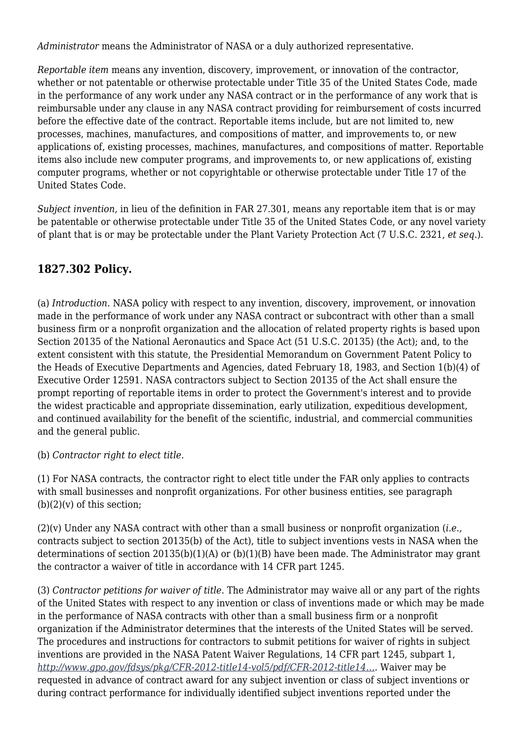*Administrator* means the Administrator of NASA or a duly authorized representative.

*Reportable item* means any invention, discovery, improvement, or innovation of the contractor, whether or not patentable or otherwise protectable under Title 35 of the United States Code, made in the performance of any work under any NASA contract or in the performance of any work that is reimbursable under any clause in any NASA contract providing for reimbursement of costs incurred before the effective date of the contract. Reportable items include, but are not limited to, new processes, machines, manufactures, and compositions of matter, and improvements to, or new applications of, existing processes, machines, manufactures, and compositions of matter. Reportable items also include new computer programs, and improvements to, or new applications of, existing computer programs, whether or not copyrightable or otherwise protectable under Title 17 of the United States Code.

*Subject invention,* in lieu of the definition in FAR 27.301, means any reportable item that is or may be patentable or otherwise protectable under Title 35 of the United States Code, or any novel variety of plant that is or may be protectable under the Plant Variety Protection Act (7 U.S.C. 2321, *et seq.*).

#### **1827.302 Policy.**

(a) *Introduction.* NASA policy with respect to any invention, discovery, improvement, or innovation made in the performance of work under any NASA contract or subcontract with other than a small business firm or a nonprofit organization and the allocation of related property rights is based upon Section 20135 of the National Aeronautics and Space Act (51 U.S.C. 20135) (the Act); and, to the extent consistent with this statute, the Presidential Memorandum on Government Patent Policy to the Heads of Executive Departments and Agencies, dated February 18, 1983, and Section 1(b)(4) of Executive Order 12591. NASA contractors subject to Section 20135 of the Act shall ensure the prompt reporting of reportable items in order to protect the Government's interest and to provide the widest practicable and appropriate dissemination, early utilization, expeditious development, and continued availability for the benefit of the scientific, industrial, and commercial communities and the general public.

#### (b) *Contractor right to elect title.*

(1) For NASA contracts, the contractor right to elect title under the FAR only applies to contracts with small businesses and nonprofit organizations. For other business entities, see paragraph  $(b)(2)(v)$  of this section;

(2)(v) Under any NASA contract with other than a small business or nonprofit organization (*i.e.,* contracts subject to section 20135(b) of the Act), title to subject inventions vests in NASA when the determinations of section 20135(b)(1)(A) or (b)(1)(B) have been made. The Administrator may grant the contractor a waiver of title in accordance with 14 CFR part 1245.

(3) *Contractor petitions for waiver of title.* The Administrator may waive all or any part of the rights of the United States with respect to any invention or class of inventions made or which may be made in the performance of NASA contracts with other than a small business firm or a nonprofit organization if the Administrator determines that the interests of the United States will be served. The procedures and instructions for contractors to submit petitions for waiver of rights in subject inventions are provided in the NASA Patent Waiver Regulations, 14 CFR part 1245, subpart 1, *[http://www.gpo.gov/fdsys/pkg/CFR-2012-title14-vol5/pdf/CFR-2012-title14….](http://www.gpo.gov/fdsys/pkg/CFR-2012-title14-vol5/pdf/CFR-2012-title14-vol5-part1245.pdf)* Waiver may be requested in advance of contract award for any subject invention or class of subject inventions or during contract performance for individually identified subject inventions reported under the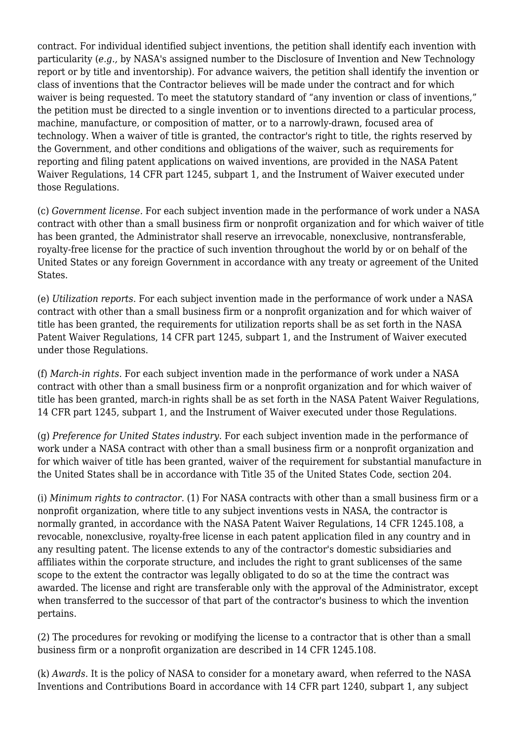contract. For individual identified subject inventions, the petition shall identify each invention with particularity (*e.g.,* by NASA's assigned number to the Disclosure of Invention and New Technology report or by title and inventorship). For advance waivers, the petition shall identify the invention or class of inventions that the Contractor believes will be made under the contract and for which waiver is being requested. To meet the statutory standard of "any invention or class of inventions," the petition must be directed to a single invention or to inventions directed to a particular process, machine, manufacture, or composition of matter, or to a narrowly-drawn, focused area of technology. When a waiver of title is granted, the contractor's right to title, the rights reserved by the Government, and other conditions and obligations of the waiver, such as requirements for reporting and filing patent applications on waived inventions, are provided in the NASA Patent Waiver Regulations, 14 CFR part 1245, subpart 1, and the Instrument of Waiver executed under those Regulations.

(c) *Government license.* For each subject invention made in the performance of work under a NASA contract with other than a small business firm or nonprofit organization and for which waiver of title has been granted, the Administrator shall reserve an irrevocable, nonexclusive, nontransferable, royalty-free license for the practice of such invention throughout the world by or on behalf of the United States or any foreign Government in accordance with any treaty or agreement of the United States.

(e) *Utilization reports.* For each subject invention made in the performance of work under a NASA contract with other than a small business firm or a nonprofit organization and for which waiver of title has been granted, the requirements for utilization reports shall be as set forth in the NASA Patent Waiver Regulations, 14 CFR part 1245, subpart 1, and the Instrument of Waiver executed under those Regulations.

(f) *March-in rights.* For each subject invention made in the performance of work under a NASA contract with other than a small business firm or a nonprofit organization and for which waiver of title has been granted, march-in rights shall be as set forth in the NASA Patent Waiver Regulations, 14 CFR part 1245, subpart 1, and the Instrument of Waiver executed under those Regulations.

(g) *Preference for United States industry.* For each subject invention made in the performance of work under a NASA contract with other than a small business firm or a nonprofit organization and for which waiver of title has been granted, waiver of the requirement for substantial manufacture in the United States shall be in accordance with Title 35 of the United States Code, section 204.

(i) *Minimum rights to contractor.* (1) For NASA contracts with other than a small business firm or a nonprofit organization, where title to any subject inventions vests in NASA, the contractor is normally granted, in accordance with the NASA Patent Waiver Regulations, 14 CFR 1245.108, a revocable, nonexclusive, royalty-free license in each patent application filed in any country and in any resulting patent. The license extends to any of the contractor's domestic subsidiaries and affiliates within the corporate structure, and includes the right to grant sublicenses of the same scope to the extent the contractor was legally obligated to do so at the time the contract was awarded. The license and right are transferable only with the approval of the Administrator, except when transferred to the successor of that part of the contractor's business to which the invention pertains.

(2) The procedures for revoking or modifying the license to a contractor that is other than a small business firm or a nonprofit organization are described in 14 CFR 1245.108.

(k) *Awards.* It is the policy of NASA to consider for a monetary award, when referred to the NASA Inventions and Contributions Board in accordance with 14 CFR part 1240, subpart 1, any subject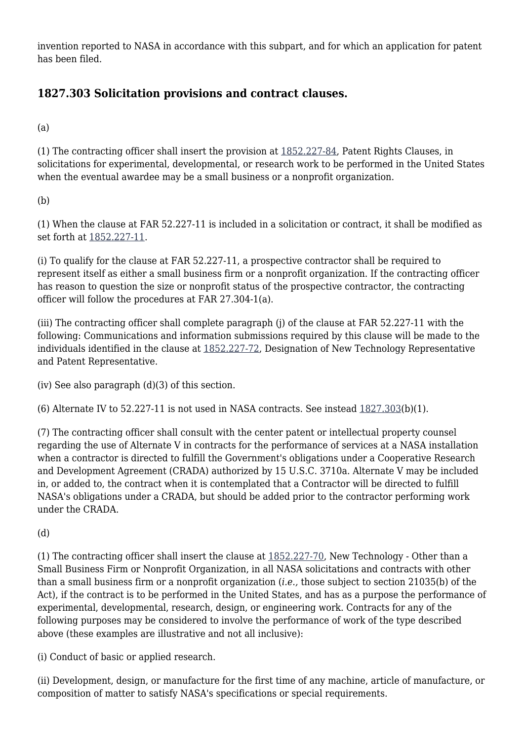invention reported to NASA in accordance with this subpart, and for which an application for patent has been filed.

## **1827.303 Solicitation provisions and contract clauses.**

(a)

(1) The contracting officer shall insert the provision at [1852.227-84,](https://login.acquisition.gov/%5Brp:link:nfs-part-1852%5D#Section_1852_227_84_T48_60423441171) Patent Rights Clauses, in solicitations for experimental, developmental, or research work to be performed in the United States when the eventual awardee may be a small business or a nonprofit organization.

(b)

(1) When the clause at FAR 52.227-11 is included in a solicitation or contract, it shall be modified as set forth at [1852.227-11.](https://login.acquisition.gov/%5Brp:link:nfs-part-1852%5D#Section_1852_227_11_T48_60423441164)

(i) To qualify for the clause at FAR 52.227-11, a prospective contractor shall be required to represent itself as either a small business firm or a nonprofit organization. If the contracting officer has reason to question the size or nonprofit status of the prospective contractor, the contracting officer will follow the procedures at FAR 27.304-1(a).

(iii) The contracting officer shall complete paragraph (j) of the clause at FAR 52.227-11 with the following: Communications and information submissions required by this clause will be made to the individuals identified in the clause at [1852.227-72,](https://login.acquisition.gov/%5Brp:link:nfs-part-1852%5D#Section_1852_227_72_T48_60423441170) Designation of New Technology Representative and Patent Representative.

(iv) See also paragraph (d)(3) of this section.

(6) Alternate IV to  $52.227-11$  is not used in NASA contracts. See instead  $1827.303(b)(1)$  $1827.303(b)(1)$ .

(7) The contracting officer shall consult with the center patent or intellectual property counsel regarding the use of Alternate V in contracts for the performance of services at a NASA installation when a contractor is directed to fulfill the Government's obligations under a Cooperative Research and Development Agreement (CRADA) authorized by 15 U.S.C. 3710a. Alternate V may be included in, or added to, the contract when it is contemplated that a Contractor will be directed to fulfill NASA's obligations under a CRADA, but should be added prior to the contractor performing work under the CRADA.

(d)

(1) The contracting officer shall insert the clause at [1852.227-70](https://login.acquisition.gov/%5Brp:link:nfs-part-1852%5D#Section_1852_227_70_T48_60423441168), New Technology - Other than a Small Business Firm or Nonprofit Organization, in all NASA solicitations and contracts with other than a small business firm or a nonprofit organization (*i.e.,* those subject to section 21035(b) of the Act), if the contract is to be performed in the United States, and has as a purpose the performance of experimental, developmental, research, design, or engineering work. Contracts for any of the following purposes may be considered to involve the performance of work of the type described above (these examples are illustrative and not all inclusive):

(i) Conduct of basic or applied research.

(ii) Development, design, or manufacture for the first time of any machine, article of manufacture, or composition of matter to satisfy NASA's specifications or special requirements.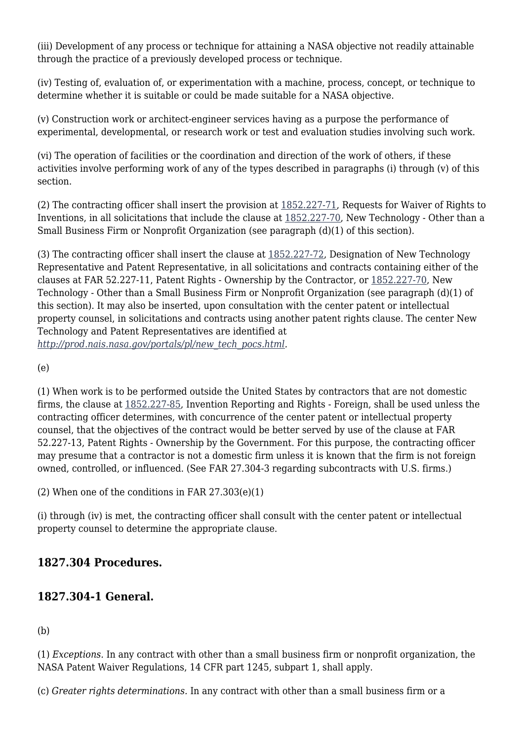(iii) Development of any process or technique for attaining a NASA objective not readily attainable through the practice of a previously developed process or technique.

(iv) Testing of, evaluation of, or experimentation with a machine, process, concept, or technique to determine whether it is suitable or could be made suitable for a NASA objective.

(v) Construction work or architect-engineer services having as a purpose the performance of experimental, developmental, or research work or test and evaluation studies involving such work.

(vi) The operation of facilities or the coordination and direction of the work of others, if these activities involve performing work of any of the types described in paragraphs (i) through (v) of this section.

(2) The contracting officer shall insert the provision at [1852.227-71,](https://login.acquisition.gov/%5Brp:link:nfs-part-1852%5D#Section_1852_227_71_T48_60423441169) Requests for Waiver of Rights to Inventions, in all solicitations that include the clause at [1852.227-70](https://login.acquisition.gov/%5Brp:link:nfs-part-1852%5D#Section_1852_227_70_T48_60423441168), New Technology - Other than a Small Business Firm or Nonprofit Organization (see paragraph (d)(1) of this section).

(3) The contracting officer shall insert the clause at [1852.227-72](https://login.acquisition.gov/%5Brp:link:nfs-part-1852%5D#Section_1852_227_72_T48_60423441170), Designation of New Technology Representative and Patent Representative, in all solicitations and contracts containing either of the clauses at FAR 52.227-11, Patent Rights - Ownership by the Contractor, or [1852.227-70](https://login.acquisition.gov/%5Brp:link:nfs-part-1852%5D#Section_1852_227_70_T48_60423441168), New Technology - Other than a Small Business Firm or Nonprofit Organization (see paragraph (d)(1) of this section). It may also be inserted, upon consultation with the center patent or intellectual property counsel, in solicitations and contracts using another patent rights clause. The center New Technology and Patent Representatives are identified at *[http://prod.nais.nasa.gov/portals/pl/new\\_tech\\_pocs.html.](http://prod.nais.nasa.gov/portals/pl/new_tech_pocs.html)*

(e)

(1) When work is to be performed outside the United States by contractors that are not domestic firms, the clause at [1852.227-85](https://login.acquisition.gov/%5Brp:link:nfs-part-1852%5D#Section_1852_227_85_T48_60423441172), Invention Reporting and Rights - Foreign, shall be used unless the contracting officer determines, with concurrence of the center patent or intellectual property counsel, that the objectives of the contract would be better served by use of the clause at FAR 52.227-13, Patent Rights - Ownership by the Government. For this purpose, the contracting officer may presume that a contractor is not a domestic firm unless it is known that the firm is not foreign owned, controlled, or influenced. (See FAR 27.304-3 regarding subcontracts with U.S. firms.)

(2) When one of the conditions in FAR 27.303(e)(1)

(i) through (iv) is met, the contracting officer shall consult with the center patent or intellectual property counsel to determine the appropriate clause.

#### **1827.304 Procedures.**

## **1827.304-1 General.**

(b)

(1) *Exceptions.* In any contract with other than a small business firm or nonprofit organization, the NASA Patent Waiver Regulations, 14 CFR part 1245, subpart 1, shall apply.

(c) *Greater rights determinations.* In any contract with other than a small business firm or a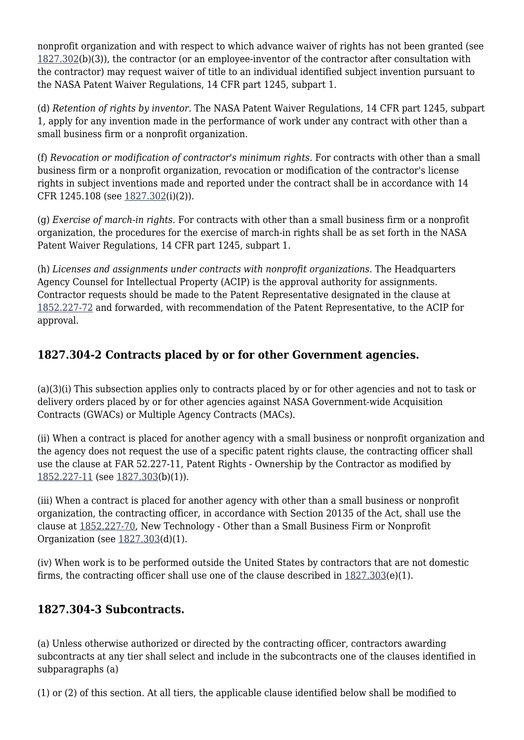nonprofit organization and with respect to which advance waiver of rights has not been granted (see [1827.302\(](https://login.acquisition.gov/%5Brp:link:nfs-part-1827%5D#Section_1827_302_T48_6042022112)b)(3)), the contractor (or an employee-inventor of the contractor after consultation with the contractor) may request waiver of title to an individual identified subject invention pursuant to the NASA Patent Waiver Regulations, 14 CFR part 1245, subpart 1.

(d) *Retention of rights by inventor.* The NASA Patent Waiver Regulations, 14 CFR part 1245, subpart 1, apply for any invention made in the performance of work under any contract with other than a small business firm or a nonprofit organization.

(f) *Revocation or modification of contractor's minimum rights.* For contracts with other than a small business firm or a nonprofit organization, revocation or modification of the contractor's license rights in subject inventions made and reported under the contract shall be in accordance with 14 CFR 1245.108 (see [1827.302\(](https://login.acquisition.gov/%5Brp:link:nfs-part-1827%5D#Section_1827_302_T48_6042022112)i)(2)).

(g) *Exercise of march-in rights.* For contracts with other than a small business firm or a nonprofit organization, the procedures for the exercise of march-in rights shall be as set forth in the NASA Patent Waiver Regulations, 14 CFR part 1245, subpart 1.

(h) *Licenses and assignments under contracts with nonprofit organizations.* The Headquarters Agency Counsel for Intellectual Property (ACIP) is the approval authority for assignments. Contractor requests should be made to the Patent Representative designated in the clause at [1852.227-72](https://login.acquisition.gov/%5Brp:link:nfs-part-1852%5D#Section_1852_227_72_T48_60423441170) and forwarded, with recommendation of the Patent Representative, to the ACIP for approval.

## **1827.304-2 Contracts placed by or for other Government agencies.**

(a)(3)(i) This subsection applies only to contracts placed by or for other agencies and not to task or delivery orders placed by or for other agencies against NASA Government-wide Acquisition Contracts (GWACs) or Multiple Agency Contracts (MACs).

(ii) When a contract is placed for another agency with a small business or nonprofit organization and the agency does not request the use of a specific patent rights clause, the contracting officer shall use the clause at FAR 52.227-11, Patent Rights - Ownership by the Contractor as modified by [1852.227-11](https://login.acquisition.gov/%5Brp:link:nfs-part-1852%5D#Section_1852_227_11_T48_60423441164) (see [1827.303\(](https://login.acquisition.gov/%5Brp:link:nfs-part-1827%5D#Section_1827_303_T48_6042022113)b)(1)).

(iii) When a contract is placed for another agency with other than a small business or nonprofit organization, the contracting officer, in accordance with Section 20135 of the Act, shall use the clause at [1852.227-70,](https://login.acquisition.gov/%5Brp:link:nfs-part-1852%5D#Section_1852_227_70_T48_60423441168) New Technology - Other than a Small Business Firm or Nonprofit Organization (see [1827.303\(](https://login.acquisition.gov/%5Brp:link:nfs-part-1827%5D#Section_1827_303_T48_6042022113)d)(1).

(iv) When work is to be performed outside the United States by contractors that are not domestic firms, the contracting officer shall use one of the clause described in  $1827.303(e)(1)$  $1827.303(e)(1)$ .

#### **1827.304-3 Subcontracts.**

(a) Unless otherwise authorized or directed by the contracting officer, contractors awarding subcontracts at any tier shall select and include in the subcontracts one of the clauses identified in subparagraphs (a)

(1) or (2) of this section. At all tiers, the applicable clause identified below shall be modified to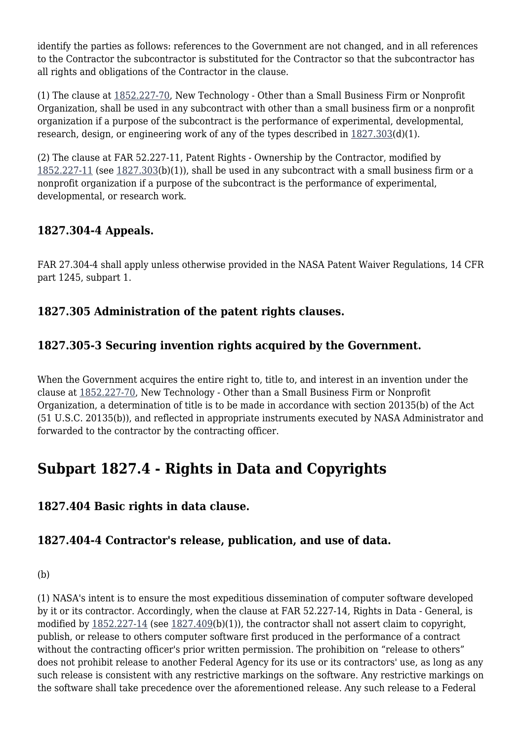identify the parties as follows: references to the Government are not changed, and in all references to the Contractor the subcontractor is substituted for the Contractor so that the subcontractor has all rights and obligations of the Contractor in the clause.

(1) The clause at [1852.227-70,](https://login.acquisition.gov/%5Brp:link:nfs-part-1852%5D#Section_1852_227_70_T48_60423441168) New Technology - Other than a Small Business Firm or Nonprofit Organization, shall be used in any subcontract with other than a small business firm or a nonprofit organization if a purpose of the subcontract is the performance of experimental, developmental, research, design, or engineering work of any of the types described in  $1827.303(d)(1)$  $1827.303(d)(1)$ .

(2) The clause at FAR 52.227-11, Patent Rights - Ownership by the Contractor, modified by [1852.227-11](https://login.acquisition.gov/%5Brp:link:nfs-part-1852%5D#Section_1852_227_11_T48_60423441164) (see [1827.303\(](https://login.acquisition.gov/%5Brp:link:nfs-part-1827%5D#Section_1827_303_T48_6042022113)b)(1)), shall be used in any subcontract with a small business firm or a nonprofit organization if a purpose of the subcontract is the performance of experimental, developmental, or research work.

# **1827.304-4 Appeals.**

FAR 27.304-4 shall apply unless otherwise provided in the NASA Patent Waiver Regulations, 14 CFR part 1245, subpart 1.

## **1827.305 Administration of the patent rights clauses.**

# **1827.305-3 Securing invention rights acquired by the Government.**

When the Government acquires the entire right to, title to, and interest in an invention under the clause at [1852.227-70,](https://login.acquisition.gov/%5Brp:link:nfs-part-1852%5D#Section_1852_227_70_T48_60423441168) New Technology - Other than a Small Business Firm or Nonprofit Organization, a determination of title is to be made in accordance with section 20135(b) of the Act (51 U.S.C. 20135(b)), and reflected in appropriate instruments executed by NASA Administrator and forwarded to the contractor by the contracting officer.

# **Subpart 1827.4 - Rights in Data and Copyrights**

#### **1827.404 Basic rights in data clause.**

## **1827.404-4 Contractor's release, publication, and use of data.**

#### (b)

(1) NASA's intent is to ensure the most expeditious dissemination of computer software developed by it or its contractor. Accordingly, when the clause at FAR 52.227-14, Rights in Data - General, is modified by [1852.227-14](https://login.acquisition.gov/%5Brp:link:nfs-part-1852%5D#Section_1852_227_14_T48_60423441165) (see [1827.409\(](https://login.acquisition.gov/%5Brp:link:nfs-part-1827%5D#Section_1827_409_T48_6042022213)b)(1)), the contractor shall not assert claim to copyright, publish, or release to others computer software first produced in the performance of a contract without the contracting officer's prior written permission. The prohibition on "release to others" does not prohibit release to another Federal Agency for its use or its contractors' use, as long as any such release is consistent with any restrictive markings on the software. Any restrictive markings on the software shall take precedence over the aforementioned release. Any such release to a Federal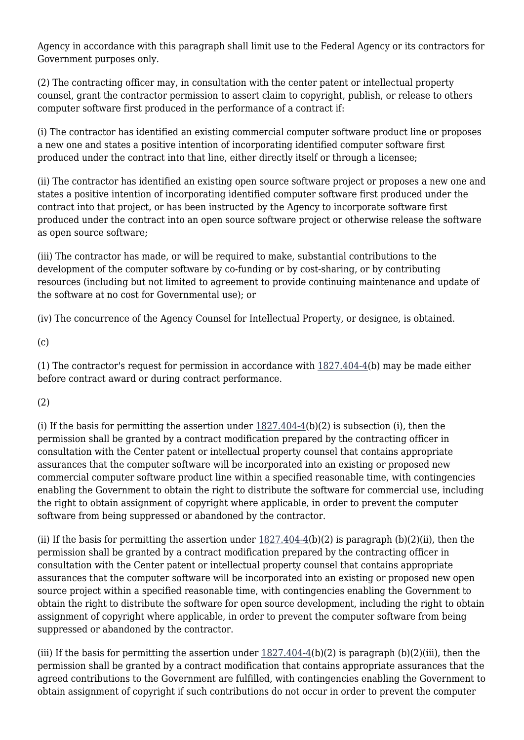Agency in accordance with this paragraph shall limit use to the Federal Agency or its contractors for Government purposes only.

(2) The contracting officer may, in consultation with the center patent or intellectual property counsel, grant the contractor permission to assert claim to copyright, publish, or release to others computer software first produced in the performance of a contract if:

(i) The contractor has identified an existing commercial computer software product line or proposes a new one and states a positive intention of incorporating identified computer software first produced under the contract into that line, either directly itself or through a licensee;

(ii) The contractor has identified an existing open source software project or proposes a new one and states a positive intention of incorporating identified computer software first produced under the contract into that project, or has been instructed by the Agency to incorporate software first produced under the contract into an open source software project or otherwise release the software as open source software;

(iii) The contractor has made, or will be required to make, substantial contributions to the development of the computer software by co-funding or by cost-sharing, or by contributing resources (including but not limited to agreement to provide continuing maintenance and update of the software at no cost for Governmental use); or

(iv) The concurrence of the Agency Counsel for Intellectual Property, or designee, is obtained.

 $(c)$ 

(1) The contractor's request for permission in accordance with [1827.404-4\(](https://login.acquisition.gov/%5Brp:link:nfs-part-1827%5D#Section_1827_404_4_T48_6042022212)b) may be made either before contract award or during contract performance.

(2)

(i) If the basis for permitting the assertion under  $1827.404-4(b)(2)$  $1827.404-4(b)(2)$  is subsection (i), then the permission shall be granted by a contract modification prepared by the contracting officer in consultation with the Center patent or intellectual property counsel that contains appropriate assurances that the computer software will be incorporated into an existing or proposed new commercial computer software product line within a specified reasonable time, with contingencies enabling the Government to obtain the right to distribute the software for commercial use, including the right to obtain assignment of copyright where applicable, in order to prevent the computer software from being suppressed or abandoned by the contractor.

(ii) If the basis for permitting the assertion under  $1827.404-4(b)(2)$  $1827.404-4(b)(2)$  is paragraph (b)(2)(ii), then the permission shall be granted by a contract modification prepared by the contracting officer in consultation with the Center patent or intellectual property counsel that contains appropriate assurances that the computer software will be incorporated into an existing or proposed new open source project within a specified reasonable time, with contingencies enabling the Government to obtain the right to distribute the software for open source development, including the right to obtain assignment of copyright where applicable, in order to prevent the computer software from being suppressed or abandoned by the contractor.

(iii) If the basis for permitting the assertion under  $1827.404-4(b)(2)$  is paragraph (b)(2)(iii), then the permission shall be granted by a contract modification that contains appropriate assurances that the agreed contributions to the Government are fulfilled, with contingencies enabling the Government to obtain assignment of copyright if such contributions do not occur in order to prevent the computer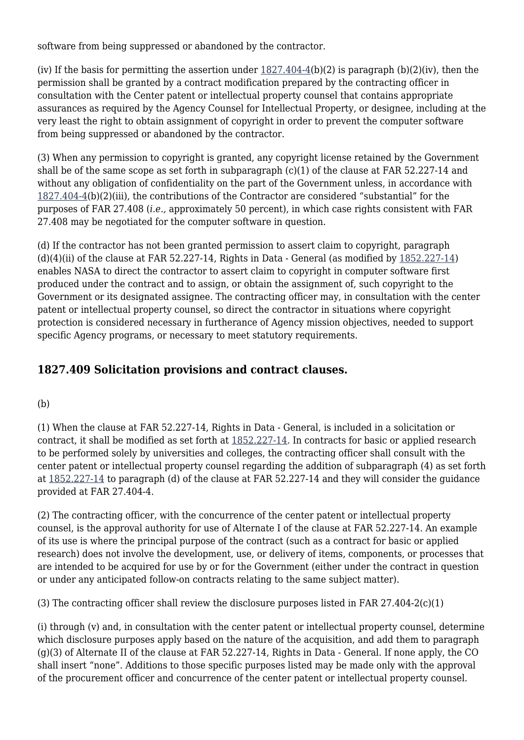software from being suppressed or abandoned by the contractor.

(iv) If the basis for permitting the assertion under  $1827.404-4(b)(2)$  is paragraph (b)(2)(iv), then the permission shall be granted by a contract modification prepared by the contracting officer in consultation with the Center patent or intellectual property counsel that contains appropriate assurances as required by the Agency Counsel for Intellectual Property, or designee, including at the very least the right to obtain assignment of copyright in order to prevent the computer software from being suppressed or abandoned by the contractor.

(3) When any permission to copyright is granted, any copyright license retained by the Government shall be of the same scope as set forth in subparagraph (c)(1) of the clause at FAR 52.227-14 and without any obligation of confidentiality on the part of the Government unless, in accordance with [1827.404-4](https://login.acquisition.gov/%5Brp:link:nfs-part-1827%5D#Section_1827_404_4_T48_6042022212)(b)(2)(iii), the contributions of the Contractor are considered "substantial" for the purposes of FAR 27.408 (*i.e.,* approximately 50 percent), in which case rights consistent with FAR 27.408 may be negotiated for the computer software in question.

(d) If the contractor has not been granted permission to assert claim to copyright, paragraph  $(d)(4)(ii)$  of the clause at FAR 52.227-14, Rights in Data - General (as modified by  $1852.227-14$ ) enables NASA to direct the contractor to assert claim to copyright in computer software first produced under the contract and to assign, or obtain the assignment of, such copyright to the Government or its designated assignee. The contracting officer may, in consultation with the center patent or intellectual property counsel, so direct the contractor in situations where copyright protection is considered necessary in furtherance of Agency mission objectives, needed to support specific Agency programs, or necessary to meet statutory requirements.

## **1827.409 Solicitation provisions and contract clauses.**

#### (b)

(1) When the clause at FAR 52.227-14, Rights in Data - General, is included in a solicitation or contract, it shall be modified as set forth at [1852.227-14](https://login.acquisition.gov/%5Brp:link:nfs-part-1852%5D#Section_1852_227_14_T48_60423441165). In contracts for basic or applied research to be performed solely by universities and colleges, the contracting officer shall consult with the center patent or intellectual property counsel regarding the addition of subparagraph (4) as set forth at [1852.227-14](https://login.acquisition.gov/%5Brp:link:nfs-part-1852%5D#Section_1852_227_14_T48_60423441165) to paragraph (d) of the clause at FAR 52.227-14 and they will consider the guidance provided at FAR 27.404-4.

(2) The contracting officer, with the concurrence of the center patent or intellectual property counsel, is the approval authority for use of Alternate I of the clause at FAR 52.227-14. An example of its use is where the principal purpose of the contract (such as a contract for basic or applied research) does not involve the development, use, or delivery of items, components, or processes that are intended to be acquired for use by or for the Government (either under the contract in question or under any anticipated follow-on contracts relating to the same subject matter).

(3) The contracting officer shall review the disclosure purposes listed in FAR 27.404-2(c)(1)

(i) through (v) and, in consultation with the center patent or intellectual property counsel, determine which disclosure purposes apply based on the nature of the acquisition, and add them to paragraph (g)(3) of Alternate II of the clause at FAR 52.227-14, Rights in Data - General. If none apply, the CO shall insert "none". Additions to those specific purposes listed may be made only with the approval of the procurement officer and concurrence of the center patent or intellectual property counsel.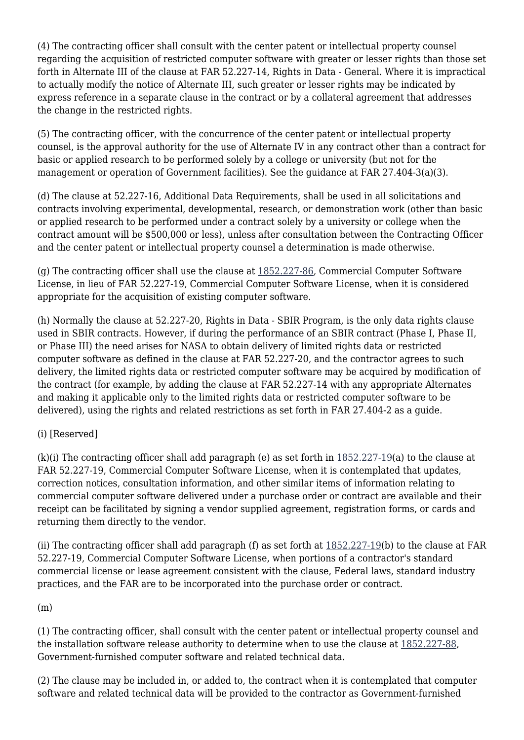(4) The contracting officer shall consult with the center patent or intellectual property counsel regarding the acquisition of restricted computer software with greater or lesser rights than those set forth in Alternate III of the clause at FAR 52.227-14, Rights in Data - General. Where it is impractical to actually modify the notice of Alternate III, such greater or lesser rights may be indicated by express reference in a separate clause in the contract or by a collateral agreement that addresses the change in the restricted rights.

(5) The contracting officer, with the concurrence of the center patent or intellectual property counsel, is the approval authority for the use of Alternate IV in any contract other than a contract for basic or applied research to be performed solely by a college or university (but not for the management or operation of Government facilities). See the guidance at FAR 27.404-3(a)(3).

(d) The clause at 52.227-16, Additional Data Requirements, shall be used in all solicitations and contracts involving experimental, developmental, research, or demonstration work (other than basic or applied research to be performed under a contract solely by a university or college when the contract amount will be \$500,000 or less), unless after consultation between the Contracting Officer and the center patent or intellectual property counsel a determination is made otherwise.

(g) The contracting officer shall use the clause at [1852.227-86](https://login.acquisition.gov/%5Brp:link:nfs-part-1852%5D#Section_1852_227_86_T48_60423441173), Commercial Computer Software License, in lieu of FAR 52.227-19, Commercial Computer Software License, when it is considered appropriate for the acquisition of existing computer software.

(h) Normally the clause at 52.227-20, Rights in Data - SBIR Program, is the only data rights clause used in SBIR contracts. However, if during the performance of an SBIR contract (Phase I, Phase II, or Phase III) the need arises for NASA to obtain delivery of limited rights data or restricted computer software as defined in the clause at FAR 52.227-20, and the contractor agrees to such delivery, the limited rights data or restricted computer software may be acquired by modification of the contract (for example, by adding the clause at FAR 52.227-14 with any appropriate Alternates and making it applicable only to the limited rights data or restricted computer software to be delivered), using the rights and related restrictions as set forth in FAR 27.404-2 as a guide.

#### (i) [Reserved]

(k)(i) The contracting officer shall add paragraph (e) as set forth in  $1852.227-19$ (a) to the clause at FAR 52.227-19, Commercial Computer Software License, when it is contemplated that updates, correction notices, consultation information, and other similar items of information relating to commercial computer software delivered under a purchase order or contract are available and their receipt can be facilitated by signing a vendor supplied agreement, registration forms, or cards and returning them directly to the vendor.

(ii) The contracting officer shall add paragraph (f) as set forth at  $1852.227-19(b)$  to the clause at FAR 52.227-19, Commercial Computer Software License, when portions of a contractor's standard commercial license or lease agreement consistent with the clause, Federal laws, standard industry practices, and the FAR are to be incorporated into the purchase order or contract.

#### (m)

(1) The contracting officer, shall consult with the center patent or intellectual property counsel and the installation software release authority to determine when to use the clause at [1852.227-88,](https://login.acquisition.gov/%5Brp:link:nfs-part-1852%5D#Section_1852_227_88_T48_60423441174) Government-furnished computer software and related technical data.

(2) The clause may be included in, or added to, the contract when it is contemplated that computer software and related technical data will be provided to the contractor as Government-furnished